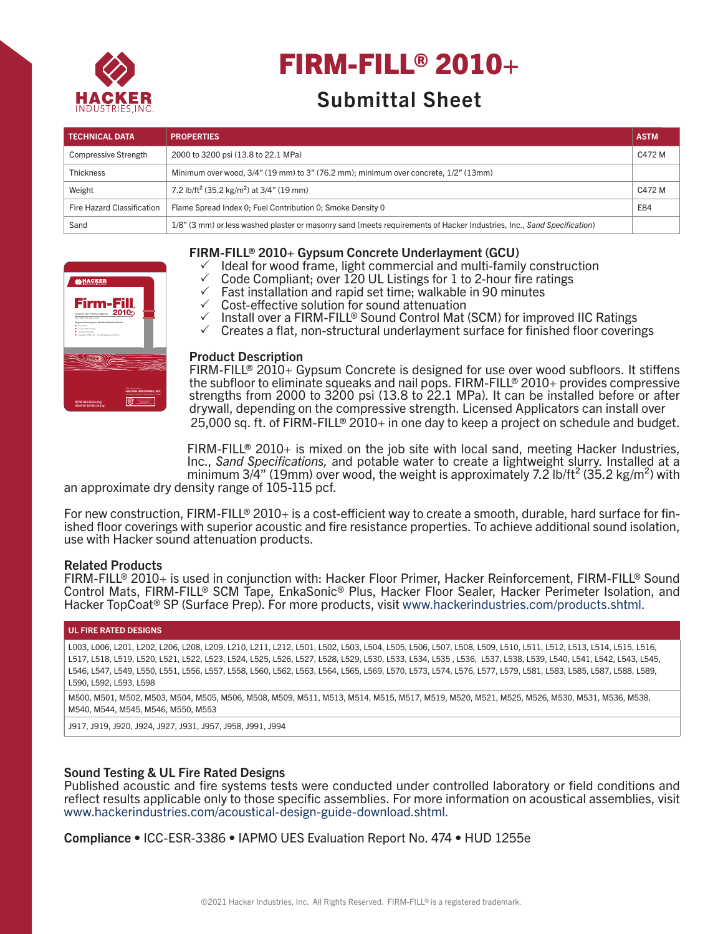

# FIRM-FILL® 2010+

# Submittal Sheet

| <b>TECHNICAL DATA</b>       | <b>PROPERTIES</b>                                                                                                      | <b>ASTM</b> |
|-----------------------------|------------------------------------------------------------------------------------------------------------------------|-------------|
| <b>Compressive Strength</b> | 2000 to 3200 psi (13.8 to 22.1 MPa)                                                                                    | C472 M      |
| <b>Thickness</b>            | Minimum over wood, 3/4" (19 mm) to 3" (76.2 mm); minimum over concrete, 1/2" (13mm)                                    |             |
| Weight                      | 7.2 lb/ft <sup>2</sup> (35.2 kg/m <sup>2</sup> ) at 3/4" (19 mm)                                                       | C472 M      |
| Fire Hazard Classification  | Flame Spread Index 0; Fuel Contribution 0; Smoke Density 0                                                             | E84         |
| Sand                        | 1/8" (3 mm) or less washed plaster or masonry sand (meets requirements of Hacker Industries, Inc., Sand Specification) |             |



# FIRM-FILL® 2010+ Gypsum Concrete Underlayment (GCU)

- $\checkmark$  Ideal for wood frame, light commercial and multi-family construction
- $\checkmark$  Code Compliant; over 120 UL Listings for 1 to 2-hour fire ratings  $\checkmark$  East installation and rapid set time; walkable in 90 minutes
- $\checkmark$  Fast installation and rapid set time; walkable in 90 minutes
- $\checkmark$  Cost-effective solution for sound attenuation
- √ Install over a FIRM-FILL® Sound Control Mat (SCM) for improved IIC Ratings **DO NOT INSTALL PRODUCT UNLESS TRAINED & LICENSED BY HACKER INDUSTRIES, INC.**
- $\checkmark$  Creates a flat, non-structural underlayment surface for finished floor coverings **NEWPORT BEACH, CA**

#### **Product Description**

ю strengths from 2000 to 3200 psi (13.8 to 22.1 MPa). It can be installed before or after the subfloor to eliminate squeaks and nail pops. FIRM-FILL® 2010+ provides compressive FIRM-FILL® 2010+ Gypsum Concrete is designed for use over wood subfloors. It stiffens 25,000 sq. ft. of FIRM-FILL® 2010+ in one day to keep a project on schedule and budget. drywall, depending on the compressive strength. Licensed Applicators can install over

FIRM-FILL® 2010+ is mixed on the job site with local sand, meeting Hacker Industries, Inc., *Sand Specifications,* and potable water to create a lightweight slurry. Installed at a minimum 3/4" (19mm) over wood, the weight is approximately 7.2 lb/ft<sup>2</sup> (35.2 kg/m<sup>2</sup>) with

an approximate dry density range of 105-115 pcf.

For new construction, FIRM-FILL® 2010+ is a cost-efficient way to create a smooth, durable, hard surface for finished floor coverings with superior acoustic and fire resistance properties. To achieve additional sound isolation, use with Hacker sound attenuation products.

#### Related Products

FIRM-FILL® 2010+ is used in conjunction with: Hacker Floor Primer, Hacker Reinforcement, FIRM-FILL® Sound Control Mats, FIRM-FILL® SCM Tape, EnkaSonic® Plus, Hacker Floor Sealer, Hacker Perimeter Isolation, and Hacker TopCoat® SP (Surface Prep). For more products, visit www.hackerindustries.com/products.shtml.

#### UL FIRE RATED DESIGNS

L003, L006, L201, L202, L206, L208, L209, L210, L211, L212, L501, L502, L503, L504, L505, L506, L507, L508, L509, L510, L511, L512, L513, L514, L515, L516, L517, L518, L519, L520, L521, L522, L523, L524, L525, L526, L527, L528, L529, L530, L533, L534, L535 , L536, L537, L538, L539, L540, L541, L542, L543, L545, L546, L547, L549, L550, L551, L556, L557, L558, L560, L562, L563, L564, L565, L569, L570, L573, L574, L576, L577, L579, L581, L583, L585, L587, L588, L589, L590, L592, L593, L598

M500, M501, M502, M503, M504, M505, M506, M508, M509, M511, M513, M514, M515, M517, M519, M520, M521, M525, M526, M530, M531, M536, M538, M540, M544, M545, M546, M550, M553

J917, J919, J920, J924, J927, J931, J957, J958, J991, J994

# Sound Testing & UL Fire Rated Designs

Published acoustic and fire systems tests were conducted under controlled laboratory or field conditions and reflect results applicable only to those specific assemblies. For more information on acoustical assemblies, visit www.hackerindustries.com/acoustical-design-guide-download.shtml.

Compliance • ICC-ESR-3386 • IAPMO UES Evaluation Report No. 474 • HUD 1255e